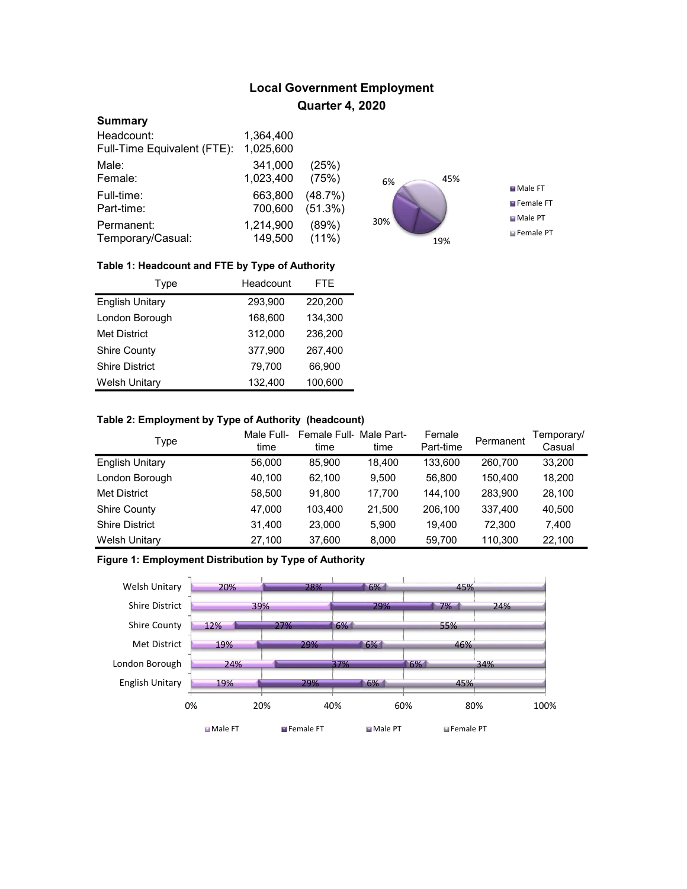# Local Government Employment Quarter 4, 2020

#### **Summary**

| Headcount:                  | 1.364,400 |          |
|-----------------------------|-----------|----------|
| Full-Time Equivalent (FTE): | 1,025,600 |          |
| Male:                       | 341,000   | (25%)    |
| Female:                     | 1,023,400 | (75%)    |
| Full-time:                  | 663,800   | (48.7%)  |
| Part-time:                  | 700,600   | (51.3%)  |
| Permanent:                  | 1,214,900 | (89%)    |
| Temporary/Casual:           | 149,500   | $(11\%)$ |



### Table 1: Headcount and FTE by Type of Authority

| Type                   | Headcount | FTE.    |
|------------------------|-----------|---------|
| <b>English Unitary</b> | 293,900   | 220,200 |
| London Borough         | 168,600   | 134.300 |
| <b>Met District</b>    | 312.000   | 236,200 |
| <b>Shire County</b>    | 377.900   | 267.400 |
| <b>Shire District</b>  | 79.700    | 66,900  |
| <b>Welsh Unitary</b>   | 132,400   | 100,600 |

### Table 2: Employment by Type of Authority (headcount)

| Type                   | Male Full-<br>time | Female Full Male Part-<br>time | time   | Female<br>Part-time | Permanent | Temporary/<br>Casual |
|------------------------|--------------------|--------------------------------|--------|---------------------|-----------|----------------------|
| <b>English Unitary</b> | 56,000             | 85.900                         | 18.400 | 133.600             | 260.700   | 33,200               |
| London Borough         | 40,100             | 62.100                         | 9.500  | 56.800              | 150,400   | 18,200               |
| <b>Met District</b>    | 58,500             | 91.800                         | 17.700 | 144.100             | 283,900   | 28,100               |
| <b>Shire County</b>    | 47,000             | 103.400                        | 21.500 | 206.100             | 337,400   | 40,500               |
| <b>Shire District</b>  | 31,400             | 23.000                         | 5.900  | 19.400              | 72.300    | 7.400                |
| <b>Welsh Unitary</b>   | 27,100             | 37,600                         | 8,000  | 59,700              | 110,300   | 22,100               |

## Figure 1: Employment Distribution by Type of Authority